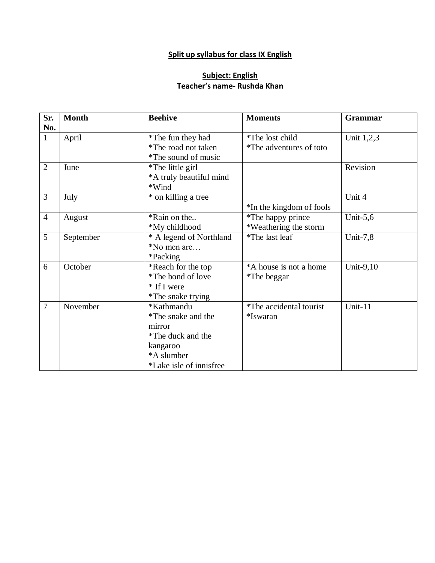### **Split up syllabus for class IX English**

### **Subject: English Teacher's name- Rushda Khan**

| Sr.            | <b>Month</b> | <b>Beehive</b>          | <b>Moments</b>           | Grammar     |
|----------------|--------------|-------------------------|--------------------------|-------------|
| No.            |              |                         |                          |             |
| $\mathbf{1}$   | April        | *The fun they had       | *The lost child          | Unit 1,2,3  |
|                |              | *The road not taken     | *The adventures of toto  |             |
|                |              | *The sound of music     |                          |             |
| $\overline{2}$ | June         | *The little girl        |                          | Revision    |
|                |              | *A truly beautiful mind |                          |             |
|                |              | *Wind                   |                          |             |
| $\overline{3}$ | July         | * on killing a tree     |                          | Unit 4      |
|                |              |                         | *In the kingdom of fools |             |
| $\overline{4}$ | August       | *Rain on the            | *The happy prince        | Unit- $5,6$ |
|                |              | *My childhood           | *Weathering the storm    |             |
| 5              | September    | * A legend of Northland | *The last leaf           | Unit- $7,8$ |
|                |              | *No men are             |                          |             |
|                |              | *Packing                |                          |             |
| 6              | October      | *Reach for the top      | *A house is not a home   | Unit-9,10   |
|                |              | *The bond of love       | *The beggar              |             |
|                |              | * If I were             |                          |             |
|                |              | *The snake trying       |                          |             |
| $\overline{7}$ | November     | *Kathmandu              | *The accidental tourist  | Unit-11     |
|                |              | *The snake and the      | *Iswaran                 |             |
|                |              | mirror                  |                          |             |
|                |              | *The duck and the       |                          |             |
|                |              | kangaroo                |                          |             |
|                |              | *A slumber              |                          |             |
|                |              | *Lake isle of innisfree |                          |             |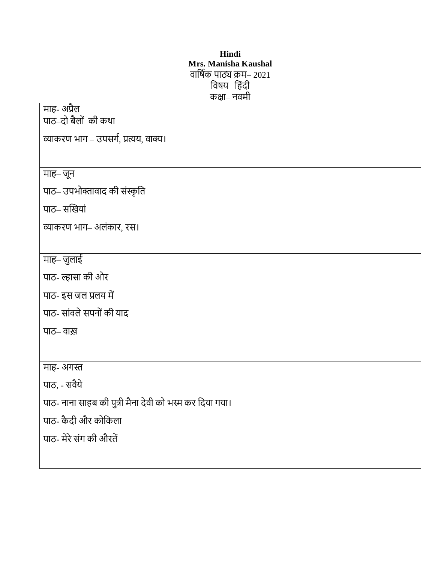### **Hindi Mrs. Manisha Kaushal** वार्षिक पाठ्य क्रम– 2021 विषय– हिंदी कक्षा– नवमी

| माह- अप्रैल                                             |
|---------------------------------------------------------|
| पाठ–दो बैलों की कथा                                     |
| व्याकरण भाग – उपसर्ग, प्रत्यय, वाक्य।                   |
|                                                         |
| माह– जून                                                |
| पाठ– उपभोक्तावाद की संस्कृति                            |
| पाठ-सखियां                                              |
| व्याकरण भाग- अलंकार, रस।                                |
|                                                         |
| माह– जुलाई                                              |
| पाठ- ल्हासा की ओर                                       |
| पाठ- इस जल प्रलय में                                    |
| पाठ- सांवले सपनों की याद                                |
| पाठ– वाख़                                               |
|                                                         |
| माह- अगस्त                                              |
| पाठ, - सवैये                                            |
| पाठ- नाना साहब की पुत्री मैना देवी को भस्म कर दिया गया। |
| पाठ- कैदी और कोकिला                                     |
| पाठ- मेरे संग की औरतें                                  |
|                                                         |
|                                                         |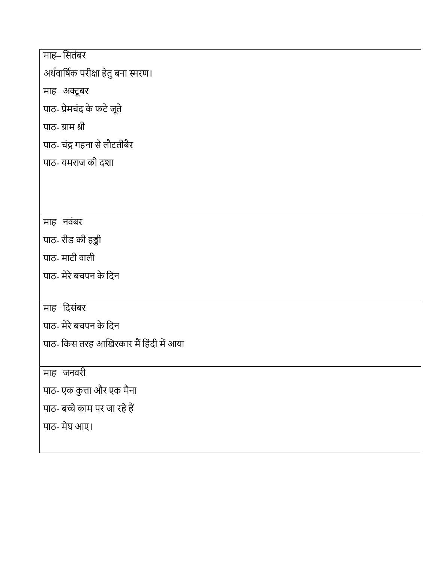# माह– सितंबर

अर्धवार्षिक परीक्षा हेतु बना स्मरण।

माह– अक्टूबर

पाठ- प्रेमचंद के फटे जूते

पाठ- ग्राम श्री

पाठ- चंद्र गहना से लौटतीबैर

पाठ- यमराज की दशा

## माह– नवंबर

पाठ- रीड की ड्डी

पाठ- माटी वाली

पाठ- मेरेबचपन केर्दन

# माह– दिसंबर

पाठ- मेरेबचपन केर्दन

पाठ- किस तरह आखिरकार मैं हिंदी में आया

माह– जनवरी

पाठ- एक कुत्ता और एक मैना

पाठ- बच्चे काम पर जा रहे हैं

पाठ- मेघ आए।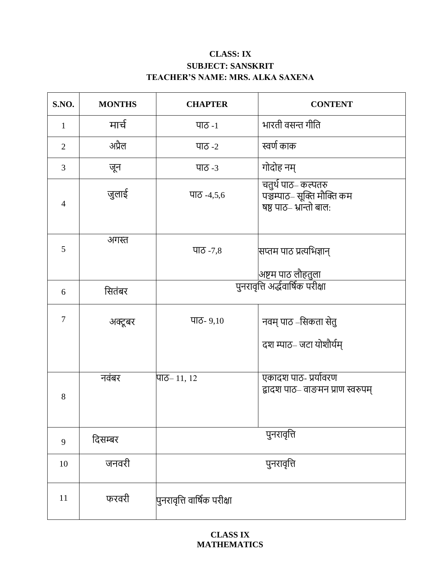### **CLASS: IX SUBJECT: SANSKRIT TEACHER'S NAME: MRS. ALKA SAXENA**

| <b>S.NO.</b>   | <b>MONTHS</b> | <b>CHAPTER</b>              | <b>CONTENT</b>                                                             |
|----------------|---------------|-----------------------------|----------------------------------------------------------------------------|
| $\mathbf{1}$   | मार्च         | पाठ -1                      | भारती वसन्त गीति                                                           |
| $\overline{2}$ | अप्रैल        | पाठ -2                      | स्वर्ण काक                                                                 |
| 3              | जून           | पाठ -3                      | गोदोह नम्                                                                  |
| $\overline{4}$ | जुलाई         | पाठ -4,5,6                  | चतुर्थ पाठ– कल्पतरु<br>पञ्चम्पाठ– सूक्ति मौक्ति कम<br>षष्ठ पाठ-भान्तो बाल: |
| 5              | अगस्त         | पाठ - $7,8$                 | सप्तम पाठ प्रत्यभिज्ञान्<br> अष्टम पाठ लौहतुला                             |
| 6              | सितंबर        |                             | पुनरावृत्ति अर्द्धवार्षिक परीक्षा                                          |
| $\overline{7}$ | अक्टूबर       | पाठ- $9,10$                 | नवम् पाठ –सिकता सेतु<br>दश म्पाठ– जटा योशौर्यम्                            |
|                | नवंबर         | पाठ– ११, १२                 | एकादश पाठ- प्रयोवरण                                                        |
| 8              |               |                             | द्वादश पाठ– वाङमन प्राण स्वरुपम्                                           |
| 9              | दिसम्बर       |                             | पुनरावृत्ति                                                                |
| 10             | जनवरी         |                             | पुनरावृत्ति                                                                |
| 11             | फरवरी         | पुनरावृत्ति वार्षिक परीक्षा |                                                                            |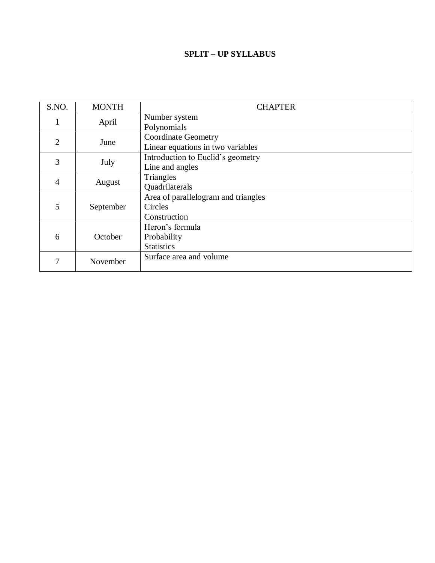### **SPLIT – UP SYLLABUS**

| S.NO.          | <b>MONTH</b> | <b>CHAPTER</b>                      |
|----------------|--------------|-------------------------------------|
|                | April        | Number system                       |
|                |              | Polynomials                         |
| $\mathfrak{2}$ | June         | <b>Coordinate Geometry</b>          |
|                |              | Linear equations in two variables   |
| 3              | July         | Introduction to Euclid's geometry   |
|                |              | Line and angles                     |
| 4              | August       | Triangles                           |
|                |              | <b>Quadrilaterals</b>               |
|                |              | Area of parallelogram and triangles |
| 5              | September    | Circles                             |
|                |              | Construction                        |
|                |              | Heron's formula                     |
| 6              | October      | Probability                         |
|                |              | <b>Statistics</b>                   |
| 7              | November     | Surface area and volume             |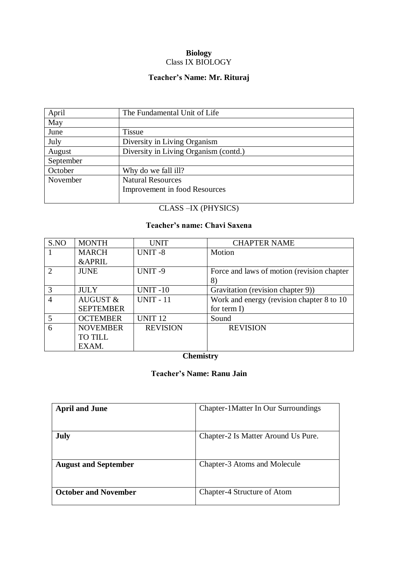#### **Biology** Class IX BIOLOGY

### **Teacher's Name: Mr. Rituraj**

| April     | The Fundamental Unit of Life          |
|-----------|---------------------------------------|
| May       |                                       |
| June      | <b>Tissue</b>                         |
| July      | Diversity in Living Organism          |
| August    | Diversity in Living Organism (contd.) |
| September |                                       |
| October   | Why do we fall ill?                   |
| November  | <b>Natural Resources</b>              |
|           | Improvement in food Resources         |
|           |                                       |

### CLASS –IX (PHYSICS)

### **Teacher's name: Chavi Saxena**

| S.NO                        | <b>MONTH</b>        | <b>UNIT</b>      | <b>CHAPTER NAME</b>                        |
|-----------------------------|---------------------|------------------|--------------------------------------------|
|                             | <b>MARCH</b>        | <b>UNIT-8</b>    | Motion                                     |
|                             | <b>&amp;APRIL</b>   |                  |                                            |
| $\mathcal{D}_{\mathcal{L}}$ | <b>JUNE</b>         | UNIT-9           | Force and laws of motion (revision chapter |
|                             |                     |                  | 8)                                         |
| 3                           | <b>JULY</b>         | <b>UNIT -10</b>  | Gravitation (revision chapter 9))          |
| $\overline{A}$              | <b>AUGUST &amp;</b> | <b>UNIT - 11</b> | Work and energy (revision chapter 8 to 10  |
|                             | <b>SEPTEMBER</b>    |                  | for term $I$ )                             |
| 5                           | <b>OCTEMBER</b>     | <b>UNIT 12</b>   | Sound                                      |
| 6                           | <b>NOVEMBER</b>     | <b>REVISION</b>  | <b>REVISION</b>                            |
|                             | <b>TO TILL</b>      |                  |                                            |
|                             | EXAM.               |                  |                                            |

### **Chemistry**

### **Teacher's Name: Ranu Jain**

| <b>April and June</b>       | Chapter-1 Matter In Our Surroundings |
|-----------------------------|--------------------------------------|
| July                        | Chapter-2 Is Matter Around Us Pure.  |
| <b>August and September</b> | Chapter-3 Atoms and Molecule         |
| <b>October and November</b> | Chapter-4 Structure of Atom          |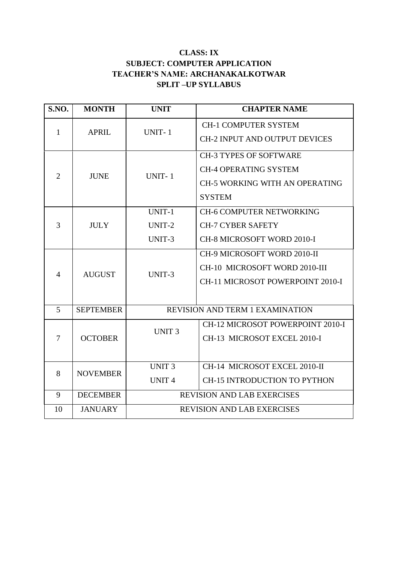### **CLASS: IX SUBJECT: COMPUTER APPLICATION TEACHER'S NAME: ARCHANAKALKOTWAR SPLIT –UP SYLLABUS**

| S.NO.          | <b>MONTH</b>     | <b>UNIT</b>                            | <b>CHAPTER NAME</b>                   |
|----------------|------------------|----------------------------------------|---------------------------------------|
| $\mathbf{1}$   | <b>APRIL</b>     | <b>UNIT-1</b>                          | <b>CH-1 COMPUTER SYSTEM</b>           |
|                |                  |                                        | <b>CH-2 INPUT AND OUTPUT DEVICES</b>  |
|                |                  | UNIT-1                                 | <b>CH-3 TYPES OF SOFTWARE</b>         |
| $\overline{2}$ | <b>JUNE</b>      |                                        | <b>CH-4 OPERATING SYSTEM</b>          |
|                |                  |                                        | <b>CH-5 WORKING WITH AN OPERATING</b> |
|                |                  |                                        | <b>SYSTEM</b>                         |
|                |                  | UNIT-1                                 | <b>CH-6 COMPUTER NETWORKING</b>       |
| $\overline{3}$ | <b>JULY</b>      | UNIT-2                                 | <b>CH-7 CYBER SAFETY</b>              |
|                |                  | UNIT-3                                 | CH-8 MICROSOFT WORD 2010-I            |
|                | <b>AUGUST</b>    | UNIT-3                                 | CH-9 MICROSOFT WORD 2010-II           |
| $\overline{4}$ |                  |                                        | CH-10 MICROSOFT WORD 2010-III         |
|                |                  |                                        | CH-11 MICROSOT POWERPOINT 2010-I      |
|                |                  |                                        |                                       |
| 5              | <b>SEPTEMBER</b> | <b>REVISION AND TERM 1 EXAMINATION</b> |                                       |
|                | <b>OCTOBER</b>   | <b>UNIT 3</b>                          | CH-12 MICROSOT POWERPOINT 2010-I      |
| $\overline{7}$ |                  |                                        | CH-13 MICROSOT EXCEL 2010-I           |
|                |                  |                                        |                                       |
| 8              | <b>NOVEMBER</b>  | <b>UNIT3</b>                           | CH-14 MICROSOT EXCEL 2010-II          |
|                |                  | <b>UNIT4</b>                           | <b>CH-15 INTRODUCTION TO PYTHON</b>   |
| 9              | <b>DECEMBER</b>  | <b>REVISION AND LAB EXERCISES</b>      |                                       |
| 10             | <b>JANUARY</b>   | <b>REVISION AND LAB EXERCISES</b>      |                                       |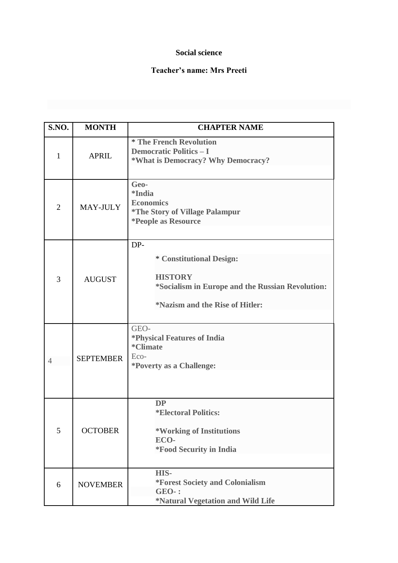### **Social science**

### **Teacher's name: Mrs Preeti**

| S.NO.          | <b>MONTH</b>     | <b>CHAPTER NAME</b>                                                                                                                             |  |
|----------------|------------------|-------------------------------------------------------------------------------------------------------------------------------------------------|--|
| $\mathbf{1}$   | <b>APRIL</b>     | * The French Revolution<br><b>Democratic Politics - I</b><br>*What is Democracy? Why Democracy?                                                 |  |
| $\overline{2}$ | MAY-JULY         | Geo-<br><i>*India</i><br><b>Economics</b><br><i><b>*The Story of Village Palampur</b></i><br><i>*People as Resource</i>                         |  |
| 3              | <b>AUGUST</b>    | DP-<br>* Constitutional Design:<br><b>HISTORY</b><br>*Socialism in Europe and the Russian Revolution:<br><i>*Nazism and the Rise of Hitler:</i> |  |
| $\overline{4}$ | <b>SEPTEMBER</b> | GEO-<br><i><b>*Physical Features of India</b></i><br>*Climate<br>Eco-<br><i>*Poverty as a Challenge:</i>                                        |  |
| 5              | <b>OCTOBER</b>   | <b>DP</b><br><i><b>*Electoral Politics:</b></i><br>*Working of Institutions<br>ECO-<br><i>*Food Security in India</i>                           |  |
| 6              | <b>NOVEMBER</b>  | HIS-<br><b>*Forest Society and Colonialism</b><br><b>GEO-:</b><br>*Natural Vegetation and Wild Life                                             |  |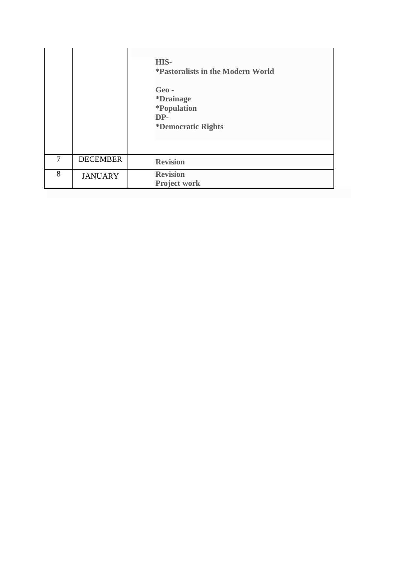|   |                 | HIS-<br><i>*Pastoralists in the Modern World</i><br>Geo-<br><i><b>*Drainage</b></i><br><i><b>*Population</b></i><br>DP-<br><i><b>*Democratic Rights</b></i> |
|---|-----------------|-------------------------------------------------------------------------------------------------------------------------------------------------------------|
| 7 | <b>DECEMBER</b> | <b>Revision</b>                                                                                                                                             |
| 8 | <b>JANUARY</b>  | <b>Revision</b><br><b>Project work</b>                                                                                                                      |